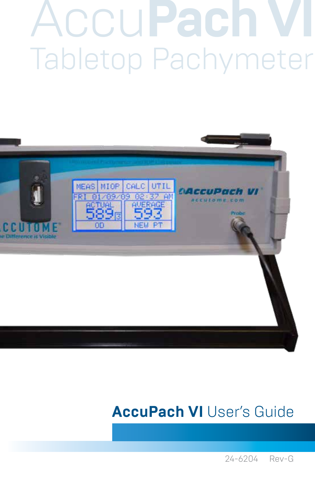## **AccuPach** Tabletop Pachymeter



### **AccuPach VI User's Guide**

24-6204 Rev-G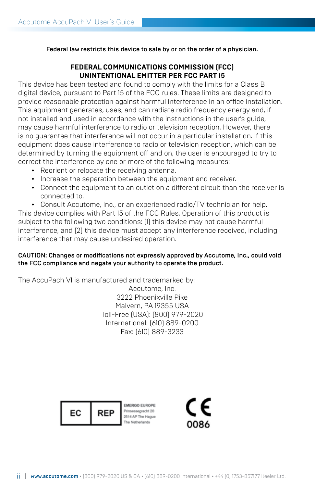Federal law restricts this device to sale by or on the order of a physician.

#### **FEDERAL COMMUNICATIONS COMMISSION (FCC) UNINTENTIONAL EMITTER PER FCC PART 15**

This device has been tested and found to comply with the limits for a Class B digital device, pursuant to Part 15 of the FCC rules. These limits are designed to provide reasonable protection against harmful interference in an office installation. This equipment generates, uses, and can radiate radio frequency energy and, if not installed and used in accordance with the instructions in the user's guide, may cause harmful interference to radio or television reception. However, there is no guarantee that interference will not occur in a particular installation. If this equipment does cause interference to radio or television reception, which can be determined by turning the equipment off and on, the user is encouraged to try to correct the interference by one or more of the following measures:

- Reorient or relocate the receiving antenna.
- Increase the separation between the equipment and receiver.
- Connect the equipment to an outlet on a different circuit than the receiver is connected to.

• Consult Accutome, Inc., or an experienced radio/TV technician for help. This device complies with Part 15 of the FCC Rules. Operation of this product is subject to the following two conditions: (1) this device may not cause harmful interference, and (2) this device must accept any interference received, including interference that may cause undesired operation.

#### CAUTION: Changes or modifications not expressly approved by Accutome, Inc., could void the FCC compliance and negate your authority to operate the product.

The AccuPach VI is manufactured and trademarked by:

Accutome, Inc. 3222 Phoenixville Pike Malvern, PA 19355 USA Toll-Free (USA): (800) 979-2020 International: (610) 889-0200 Fax: (610) 889-3233



EMERGO EUROPE hinsessegracht 20 2514 AP The Hague

CE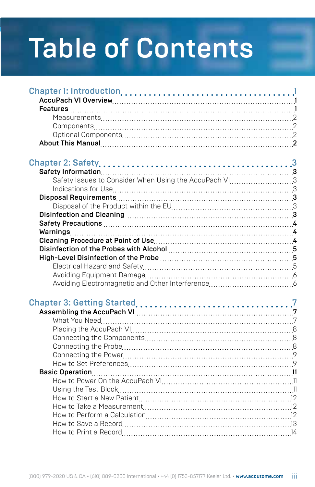### Table of Contents

| Safety Issues to Consider When Using the AccuPach VI3 |  |
|-------------------------------------------------------|--|
|                                                       |  |
|                                                       |  |
|                                                       |  |
|                                                       |  |
|                                                       |  |
|                                                       |  |
|                                                       |  |
|                                                       |  |
|                                                       |  |
|                                                       |  |
|                                                       |  |
|                                                       |  |
|                                                       |  |
|                                                       |  |
|                                                       |  |
|                                                       |  |
|                                                       |  |
|                                                       |  |
|                                                       |  |
|                                                       |  |
|                                                       |  |
|                                                       |  |
|                                                       |  |
|                                                       |  |
|                                                       |  |
|                                                       |  |
|                                                       |  |
|                                                       |  |
|                                                       |  |
|                                                       |  |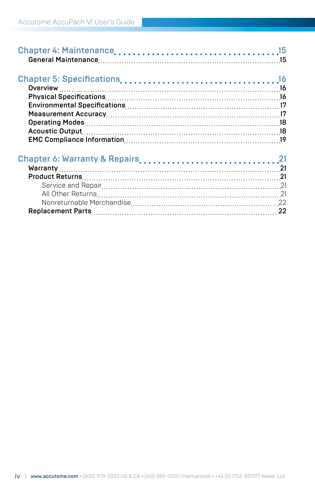| Chapter 6: Warranty & Repairs21 |  |
|---------------------------------|--|
|                                 |  |
|                                 |  |
|                                 |  |
|                                 |  |
|                                 |  |
|                                 |  |
|                                 |  |
|                                 |  |
|                                 |  |
|                                 |  |
|                                 |  |
|                                 |  |
|                                 |  |
|                                 |  |
|                                 |  |
|                                 |  |
|                                 |  |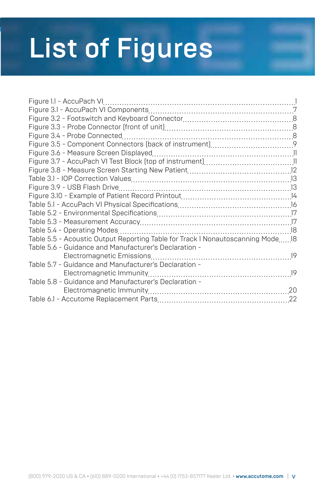### List of Figures

| Table 5.5 - Acoustic Output Reporting Table for Track I Nonautoscanning Mode18 |  |
|--------------------------------------------------------------------------------|--|
| Table 5.6 - Guidance and Manufacturer's Declaration -                          |  |
|                                                                                |  |
| Table 5.7 - Guidance and Manufacturer's Declaration -                          |  |
|                                                                                |  |
| Table 5.8 - Guidance and Manufacturer's Declaration -                          |  |
|                                                                                |  |
|                                                                                |  |
|                                                                                |  |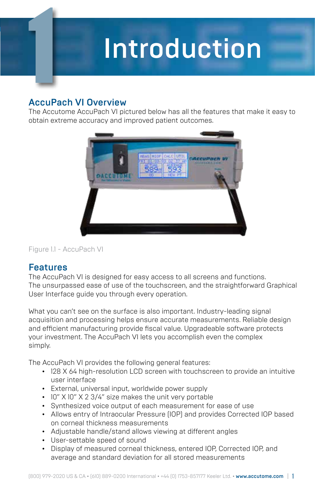### **Introduction**

#### AccuPach VI Overview

The Accutome AccuPach VI pictured below has all the features that make it easy to obtain extreme accuracy and improved patient outcomes.



Figure 1.1 - AccuPach VI

#### Features

The AccuPach VI is designed for easy access to all screens and functions. The unsurpassed ease of use of the touchscreen, and the straightforward Graphical User Interface guide you through every operation.

What you can't see on the surface is also important. Industry-leading signal acquisition and processing helps ensure accurate measurements. Reliable design and efficient manufacturing provide fiscal value. Upgradeable software protects your investment. The AccuPach VI lets you accomplish even the complex simply.

The AccuPach VI provides the following general features:

- 128 X 64 high-resolution LCD screen with touchscreen to provide an intuitive user interface
- External, universal input, worldwide power supply
- 10" X 10" X 2 3/4" size makes the unit very portable
- Synthesized voice output of each measurement for ease of use
- Allows entry of Intraocular Pressure (IOP) and provides Corrected IOP based on corneal thickness measurements
- Adjustable handle/stand allows viewing at different angles
- User-settable speed of sound
- Display of measured corneal thickness, entered IOP, Corrected IOP, and average and standard deviation for all stored measurements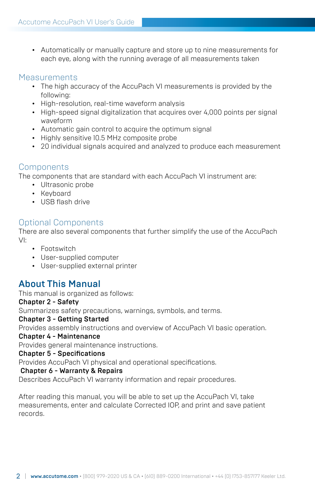• Automatically or manually capture and store up to nine measurements for each eye, along with the running average of all measurements taken

#### **Measurements**

- The high accuracy of the AccuPach VI measurements is provided by the following:
- High-resolution, real-time waveform analysis
- High-speed signal digitalization that acquires over 4,000 points per signal waveform
- Automatic gain control to acquire the optimum signal
- Highly sensitive 10.5 MHz composite probe
- 20 individual signals acquired and analyzed to produce each measurement

#### Components

The components that are standard with each AccuPach VI instrument are:

- Ultrasonic probe
- Keyboard
- USB flash drive

#### Optional Components

There are also several components that further simplify the use of the AccuPach VI:

- Footswitch
- User-supplied computer
- User-supplied external printer

#### About This Manual

This manual is organized as follows:

#### Chapter 2 - Safety

Summarizes safety precautions, warnings, symbols, and terms.

#### Chapter 3 - Getting Started

Provides assembly instructions and overview of AccuPach VI basic operation.

#### Chapter 4 - Maintenance

Provides general maintenance instructions.

#### Chapter 5 - Specifications

Provides AccuPach VI physical and operational specifications.

#### Chapter 6 - Warranty & Repairs

Describes AccuPach VI warranty information and repair procedures.

After reading this manual, you will be able to set up the AccuPach VI, take measurements, enter and calculate Corrected IOP, and print and save patient records.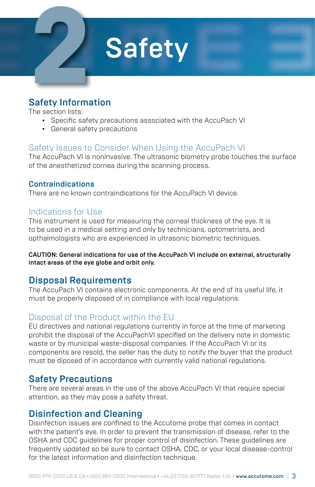

#### Safety Information

The section lists:

- Specific safety precautions associated with the AccuPach VI
- General safety precautions

#### Safety Issues to Consider When Using the AccuPach VI

The AccuPach VI is noninvasive. The ultrasonic biometry probe touches the surface of the anesthetized cornea during the scanning process.

#### Contraindications

There are no known contraindications for the AccuPach VI device.

#### Indications for Use

This instrument is used for measuring the corneal thickness of the eye. It is to be used in a medical setting and only by technicians, optometrists, and opthalmologists who are experienced in ultrasonic biometric techniques.

#### CAUTION: General indications for use of the AccuPach VI include on external, structurally intact areas of the eye globe and orbit only.

#### Disposal Requirements

The AccuPach VI contains electronic components. At the end of its useful life, it must be properly disposed of in compliance with local regulations.

#### Disposal of the Product within the EU

EU directives and national regulations currently in force at the time of marketing prohibit the disposal of the AccuPachVI specified on the delivery note in domestic waste or by municipal waste-disposal companies. If the AccuPach Vi or its components are resold, the seller has the duty to notify the buyer that the product must be diposed of in accordance with currently valid national regulations.

#### Safety Precautions

There are several areas in the use of the above AccuPach VI that require special attention, as they may pose a safety threat.

#### Disinfection and Cleaning

Disinfection issues are confined to the Accutome probe that comes in contact with the patient's eye. In order to prevent the transmission of disease, refer to the OSHA and CDC guidelines for proper control of disinfection. These guidelines are frequently updated so be sure to contact OSHA, CDC, or your local disease-control for the latest information and disinfection technique.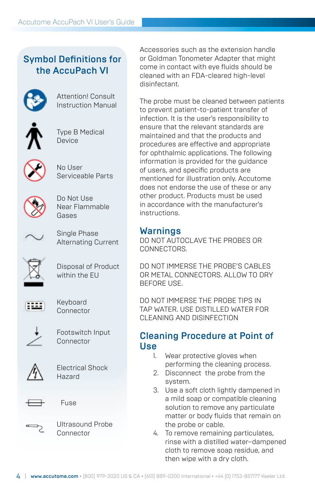#### Symbol Definitions for the AccuPach VI



Attention! Consult Instruction Manual



Type B Medical Device



No User Serviceable Parts



Do Not Use Near Flammable Gases



Single Phase Alternating Current



Disposal of Product within the FU



Keyboard Connector



Footswitch Input Connector



Electrical Shock Hazard



Fuse



Ultrasound Probe Connector

Accessories such as the extension handle or Goldman Tonometer Adapter that might come in contact with eye fluids should be cleaned with an FDA-cleared high-level disinfectant.

The probe must be cleaned between patients to prevent patient-to-patient transfer of infection. It is the user's responsibility to ensure that the relevant standards are maintained and that the products and procedures are effective and appropriate for ophthalmic applications. The following information is provided for the guidance of users, and specific products are mentioned for illustration only. Accutome does not endorse the use of these or any other product. Products must be used in accordance with the manufacturer's instructions.

#### Warnings

DO NOT AUTOCLAVE THE PROBES OR CONNECTORS.

DO NOT IMMERSE THE PROBE'S CABLES OR METAL CONNECTORS. ALLOW TO DRY BEFORE USE.

DO NOT IMMERSE THE PROBE TIPS IN TAP WATER. USE DISTILLED WATER FOR CLEANING AND DISINFECTION

#### Cleaning Procedure at Point of Use

- 1. Wear protective gloves when performing the cleaning process.
- 2. Disconnect the probe from the system.
- 3. Use a soft cloth lightly dampened in a mild soap or compatible cleaning solution to remove any particulate matter or body fluids that remain on the probe or cable.
- 4. To remove remaining particulates, rinse with a distilled water–dampened cloth to remove soap residue, and then wipe with a dry cloth.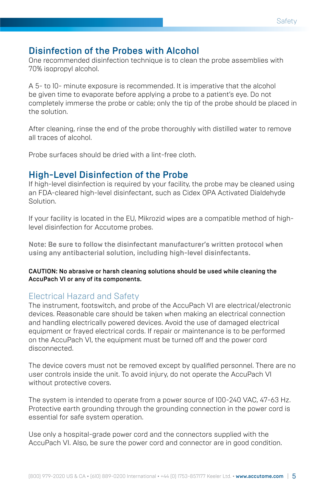#### Disinfection of the Probes with Alcohol

One recommended disinfection technique is to clean the probe assemblies with 70% isopropyl alcohol.

A 5- to 10- minute exposure is recommended. It is imperative that the alcohol be given time to evaporate before applying a probe to a patient's eye. Do not completely immerse the probe or cable; only the tip of the probe should be placed in the solution.

After cleaning, rinse the end of the probe thoroughly with distilled water to remove all traces of alcohol.

Probe surfaces should be dried with a lint-free cloth.

#### High-Level Disinfection of the Probe

If high-level disinfection is required by your facility, the probe may be cleaned using an FDA-cleared high-level disinfectant, such as Cidex OPA Activated Dialdehyde Solution.

If your facility is located in the EU, Mikrozid wipes are a compatible method of highlevel disinfection for Accutome probes.

Note: Be sure to follow the disinfectant manufacturer's written protocol when using any antibacterial solution, including high-level disinfectants.

CAUTION: No abrasive or harsh cleaning solutions should be used while cleaning the AccuPach VI or any of its components.

#### Electrical Hazard and Safety

The instrument, footswitch, and probe of the AccuPach VI are electrical/electronic devices. Reasonable care should be taken when making an electrical connection and handling electrically powered devices. Avoid the use of damaged electrical equipment or frayed electrical cords. If repair or maintenance is to be performed on the AccuPach VI, the equipment must be turned off and the power cord disconnected.

The device covers must not be removed except by qualified personnel. There are no user controls inside the unit. To avoid injury, do not operate the AccuPach VI without protective covers.

The system is intended to operate from a power source of 100-240 VAC, 47-63 Hz. Protective earth grounding through the grounding connection in the power cord is essential for safe system operation.

Use only a hospital-grade power cord and the connectors supplied with the AccuPach VI. Also, be sure the power cord and connector are in good condition.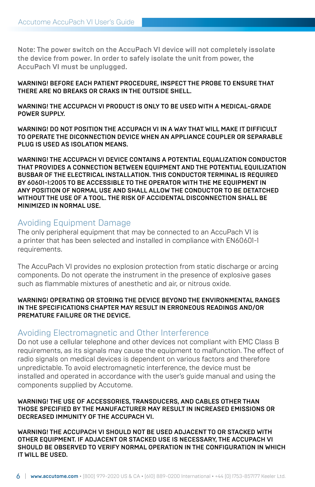Note: The power switch on the AccuPach VI device will not completely issolate the device from power. In order to safely isolate the unit from power, the AccuPach VI must be unplugged.

#### WARNING! BEFORE FACH PATIENT PROCEDURE, INSPECT THE PROBE TO ENSURE THAT THERE ARE NO BREAKS OR CRAKS IN THE OUTSIDE SHELL.

WARNING! THE ACCUPACH VI PRODUCT IS ONLY TO BE USED WITH A MEDICAL-GRADE POWER SUPPLY.

WARNING! DO NOT POSITION THE ACCUPACH VI IN A WAY THAT WILL MAKE IT DIFFICULT TO OPERATE THE DICONNECTION DEVICE WHEN AN APPLIANCE COUPLER OR SEPARABLE PLUG IS USED AS ISOLATION MEANS.

WARNING! THE ACCUPACH VI DEVICE CONTAINS A POTENTIAL EQUALIZATION CONDUCTOR THAT PROVIDES A CONNECTION BETWEEN EQUIPMENT AND THE POTENTIAL EQUILIZATION BUSBAR OF THE ELECTRICAL INSTALLATION. THIS CONDUCTOR TERMINAL IS REQUIRED BY 60601-1:2005 TO BE ACCESSIBLE TO THE OPERATOR WITH THE ME EQUIPMENT IN ANY POSITION OF NORMAL USE AND SHALL ALLOW THE CONDUCTOR TO BE DETATCHED WITHOUT THE USE OF A TOOL. THE RISK OF ACCIDENTAL DISCONNECTION SHALL BE MINIMIZED IN NORMAL USE.

#### Avoiding Equipment Damage

The only peripheral equipment that may be connected to an AccuPach VI is a printer that has been selected and installed in compliance with EN60601-1 requirements.

The AccuPach VI provides no explosion protection from static discharge or arcing components. Do not operate the instrument in the presence of explosive gases such as flammable mixtures of anesthetic and air, or nitrous oxide.

#### WARNING! OPERATING OR STORING THE DEVICE BEYOND THE ENVIRONMENTAL RANGES IN THE SPECIFICATIONS CHAPTER MAY RESULT IN ERRONEOUS READINGS AND/OR PREMATURE FAILURE OR THE DEVICE.

#### Avoiding Electromagnetic and Other Interference

Do not use a cellular telephone and other devices not compliant with EMC Class B requirements, as its signals may cause the equipment to malfunction. The effect of radio signals on medical devices is dependent on various factors and therefore unpredictable. To avoid electromagnetic interference, the device must be installed and operated in accordance with the user's guide manual and using the components supplied by Accutome.

#### WARNING! THE USE OF ACCESSORIES, TRANSDUCERS, AND CABLES OTHER THAN THOSE SPECIFIED BY THE MANUFACTURER MAY RESULT IN INCREASED EMISSIONS OR DECREASED IMMUNITY OF THE ACCUPACH VI.

WARNING! THE ACCUPACH VI SHOULD NOT BE USED ADJACENT TO OR STACKED WITH OTHER EQUIPMENT. IF ADJACENT OR STACKED USE IS NECESSARY, THE ACCUPACH VI SHOULD BE OBSERVED TO VERIFY NORMAL OPERATION IN THE CONFIGURATION IN WHICH IT WILL BE USED.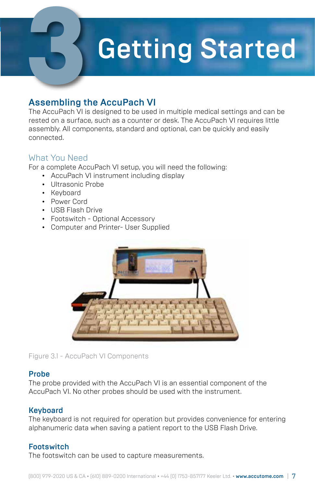### **Getting Started**

#### Assembling the AccuPach VI

The AccuPach VI is designed to be used in multiple medical settings and can be rested on a surface, such as a counter or desk. The AccuPach VI requires little assembly. All components, standard and optional, can be quickly and easily connected.

#### What You Need

For a complete AccuPach VI setup, you will need the following:

- AccuPach VI instrument including display
- Ultrasonic Probe
- Keyboard
- Power Cord
- USB Flash Drive
- Footswitch Optional Accessory
- Computer and Printer- User Supplied



Figure 3.1 - AccuPach VI Components

#### Probe

The probe provided with the AccuPach VI is an essential component of the AccuPach VI. No other probes should be used with the instrument.

#### **Keyboard**

The keyboard is not required for operation but provides convenience for entering alphanumeric data when saving a patient report to the USB Flash Drive.

#### **Footswitch**

The footswitch can be used to capture measurements.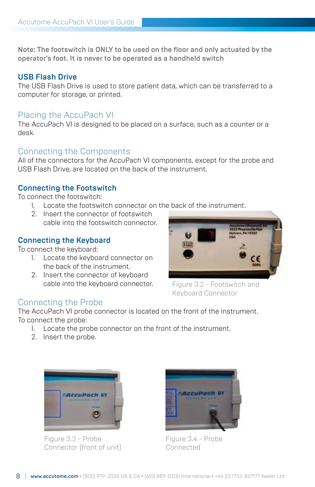Note: The footswitch is ONLY to be used on the floor and only actuated by the operator's foot. It is never to be operated as a handheld switch

#### USB Flash Drive

The USB Flash Drive is used to store patient data, which can be transferred to a computer for storage, or printed.

#### Placing the AccuPach VI

The AccuPach VI is designed to be placed on a surface, such as a counter or a desk.

#### Connecting the Components

All of the connectors for the AccuPach VI components, except for the probe and USB Flash Drive, are located on the back of the instrument.

#### Connecting the Footswitch

To connect the footswitch:

- 1. Locate the footswitch connector on the back of the instrument.
- 2. Insert the connector of footswitch cable into the footswitch connector.

#### Connecting the Keyboard

To connect the keyboard:

- 1. Locate the keyboard connector on the back of the instrument.
- 2. Insert the connector of keyboard cable into the keyboard connector.



Figure 3.2 - Footswitch and Keyboard Connector

#### Connecting the Probe

The AccuPach VI probe connector is located on the front of the instrument. To connect the probe:

- 1. Locate the probe connector on the front of the instrument.
- 2. Insert the probe.



Figure 3.3 - Probe Connector (front of unit)



Figure 3.4 - Probe Connected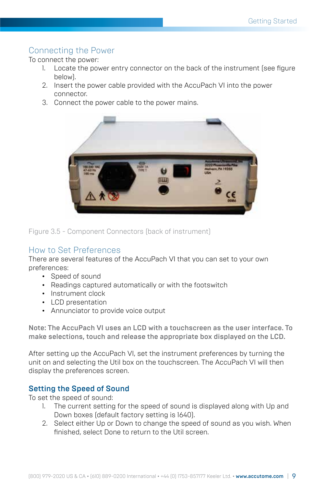#### Connecting the Power

To connect the power:

- 1. Locate the power entry connector on the back of the instrument (see figure below).
- 2. Insert the power cable provided with the AccuPach VI into the power connector.
- 3. Connect the power cable to the power mains.



Figure 3.5 - Component Connectors (back of instrument)

#### How to Set Preferences

There are several features of the AccuPach VI that you can set to your own preferences:

- Speed of sound
- Readings captured automatically or with the footswitch
- Instrument clock
- LCD presentation
- Annunciator to provide voice output

Note: The AccuPach VI uses an LCD with a touchscreen as the user interface. To make selections, touch and release the appropriate box displayed on the LCD.

After setting up the AccuPach VI, set the instrument preferences by turning the unit on and selecting the Util box on the touchscreen. The AccuPach VI will then display the preferences screen.

#### Setting the Speed of Sound

To set the speed of sound:

- 1. The current setting for the speed of sound is displayed along with Up and Down boxes (default factory setting is 1640).
- 2. Select either Up or Down to change the speed of sound as you wish. When finished, select Done to return to the Util screen.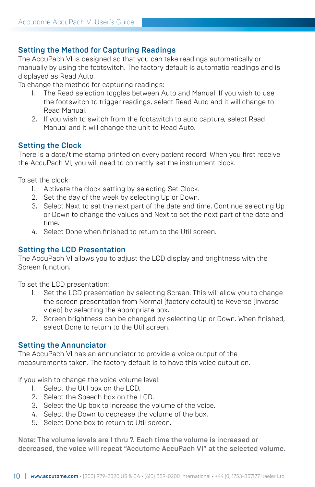#### Setting the Method for Capturing Readings

The AccuPach VI is designed so that you can take readings automatically or manually by using the footswitch. The factory default is automatic readings and is displayed as Read Auto.

To change the method for capturing readings:

- 1. The Read selection toggles between Auto and Manual. If you wish to use the footswitch to trigger readings, select Read Auto and it will change to Read Manual.
- 2. If you wish to switch from the footswitch to auto capture, select Read Manual and it will change the unit to Read Auto.

#### Setting the Clock

There is a date/time stamp printed on every patient record. When you first receive the AccuPach VI, you will need to correctly set the instrument clock.

To set the clock:

- 1. Activate the clock setting by selecting Set Clock.
- 2. Set the day of the week by selecting Up or Down.
- 3. Select Next to set the next part of the date and time. Continue selecting Up or Down to change the values and Next to set the next part of the date and time.
- 4. Select Done when finished to return to the Util screen.

#### Setting the LCD Presentation

The AccuPach VI allows you to adjust the LCD display and brightness with the Screen function.

To set the LCD presentation:

- 1. Set the LCD presentation by selecting Screen. This will allow you to change the screen presentation from Normal (factory default) to Reverse (inverse video) by selecting the appropriate box.
- 2. Screen brightness can be changed by selecting Up or Down. When finished, select Done to return to the Util screen.

#### Setting the Annunciator

The AccuPach VI has an annunciator to provide a voice output of the measurements taken. The factory default is to have this voice output on.

If you wish to change the voice volume level:

- 1. Select the Util box on the LCD.
- 2. Select the Speech box on the LCD.
- 3. Select the Up box to increase the volume of the voice.
- 4. Select the Down to decrease the volume of the box.
- 5. Select Done box to return to Util screen.

Note: The volume levels are 1 thru 7. Each time the volume is increased or decreased, the voice will repeat "Accutome AccuPach VI" at the selected volume.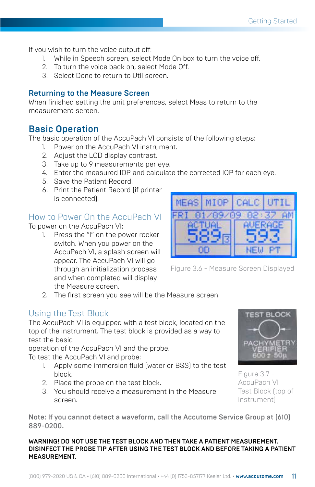If you wish to turn the voice output off:

- While in Speech screen, select Mode On box to turn the voice off.
- 2. To turn the voice back on, select Mode Off.
- 3. Select Done to return to Util screen.

#### Returning to the Measure Screen

When finished setting the unit preferences, select Meas to return to the measurement screen.

#### Basic Operation

The basic operation of the AccuPach VI consists of the following steps:

- 1. Power on the AccuPach VI instrument.
- 2. Adjust the LCD display contrast.
- 3. Take up to 9 measurements per eye.
- 4. Enter the measured IOP and calculate the corrected IOP for each eye.
- 5. Save the Patient Record.
- 6. Print the Patient Record (if printer is connected).

#### How to Power On the AccuPach VI

To power on the AccuPach VI:

1. Press the "I" on the power rocker switch. When you power on the AccuPach VI, a splash screen will appear. The AccuPach VI will go through an initialization process and when completed will display the Measure screen.



Figure 3.6 - Measure Screen Displayed

2. The first screen you see will be the Measure screen.

#### Using the Test Block

The AccuPach VI is equipped with a test block, located on the top of the instrument. The test block is provided as a way to test the basic

operation of the AccuPach VI and the probe.

To test the AccuPach VI and probe:

- 1. Apply some immersion fluid (water or BSS) to the test block.
- 2. Place the probe on the test block.
- 3. You should receive a measurement in the Measure screen.

**TEST BLOCK** 

Figure 3.7 - AccuPach VI Test Block (top of instrument)

Note: If you cannot detect a waveform, call the Accutome Service Group at (610) 889-0200.

WARNING! DO NOT USE THE TEST BLOCK AND THEN TAKE A PATIENT MEASUREMENT. DISINFECT THE PROBE TIP AFTER USING THE TEST BLOCK AND BEFORE TAKING A PATIENT MEASUREMENT.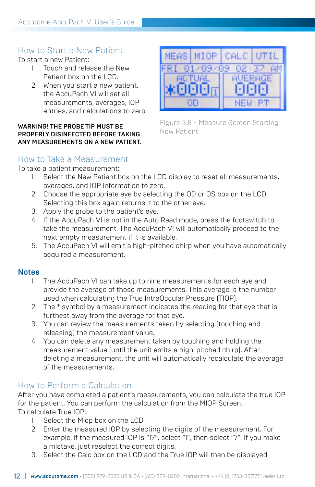#### How to Start a New Patient

To start a new Patient:

- 1. Touch and release the New Patient box on the LCD.
- 2. When you start a new patient, the AccuPach VI will set all measurements, averages, IOP entries, and calculations to zero.

#### WARNING! THE PROBE TIP MUST BE PROPERLY DISINFECTED BEFORE TAKING ANY MEASUREMENTS ON A NEW PATIENT.



Figure 3.8 - Measure Screen Starting New Patient

#### How to Take a Measurement

To take a patient measurement:

- 1. Select the New Patient box on the LCD display to reset all measurements, averages, and IOP information to zero.
- 2. Choose the appropriate eye by selecting the OD or OS box on the LCD. Selecting this box again returns it to the other eye.
- 3. Apply the probe to the patient's eye.
- 4. If the AccuPach VI is not in the Auto Read mode, press the footswitch to take the measurement. The AccuPach VI will automatically proceed to the next empty measurement if it is available.
- 5. The AccuPach VI will emit a high-pitched chirp when you have automatically acquired a measurement.

#### **Notes**

- 1. The AccuPach VI can take up to nine measurements for each eye and provide the average of those measurements. This average is the number used when calculating the True IntraOccular Pressure (TIOP).
- 2. The \* symbol by a measurement indicates the reading for that eye that is furthest away from the average for that eye.
- 3. You can review the measurements taken by selecting (touching and releasing) the measurement value.
- 4. You can delete any measurement taken by touching and holding the measurement value (until the unit emits a high-pitched chirp). After deleting a measurement, the unit will automatically recalculate the average of the measurements.

#### How to Perform a Calculation

After you have completed a patient's measurements, you can calculate the true IOP for the patient. You can perform the calculation from the MIOP Screen. To calculate True IOP:

- 1. Select the Miop box on the LCD.
- 2. Enter the measured IOP by selecting the digits of the measurement. For example, if the measured IOP is "17", select "1", then select "7". If you make a mistake, just reselect the correct digits.
- 3. Select the Calc box on the LCD and the True IOP will then be displayed.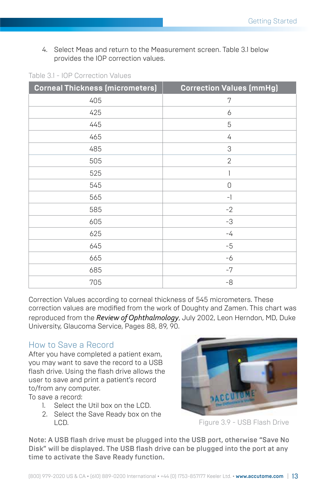4. Select Meas and return to the Measurement screen. Table 3.1 below provides the IOP correction values.

| <b>Corneal Thickness (micrometers)</b> | <b>Correction Values (mmHg)</b> |
|----------------------------------------|---------------------------------|
| 405                                    | 7                               |
| 425                                    | 6                               |
| 445                                    | 5                               |
| 465                                    | 4                               |
| 485                                    | 3                               |
| 505                                    | $\mathbf{2}$                    |
| 525                                    |                                 |
| 545                                    | 0                               |
| 565                                    | $-1$                            |
| 585                                    | $-2$                            |
| 605                                    | -3                              |
| 625                                    | $-4$                            |
| 645                                    | $-5$                            |
| 665                                    | $-6$                            |
| 685                                    | $-7$                            |
| 705                                    | $-8$                            |

Table 3.1 - IOP Correction Values

Correction Values according to corneal thickness of 545 micrometers. These correction values are modified from the work of Doughty and Zamen. This chart was reproduced from the *Review of Ophthalmology*, July 2002, Leon Herndon, MD, Duke University, Glaucoma Service, Pages 88, 89, 90.

#### How to Save a Record

After you have completed a patient exam, you may want to save the record to a USB flash drive. Using the flash drive allows the user to save and print a patient's record to/from any computer.

To save a record:

- 1. Select the Util box on the LCD.
- 2. Select the Save Ready box on the LCD.



Figure 3.9 - USB Flash Drive

Note: A USB flash drive must be plugged into the USB port, otherwise "Save No Disk" will be displayed. The USB flash drive can be plugged into the port at any time to activate the Save Ready function.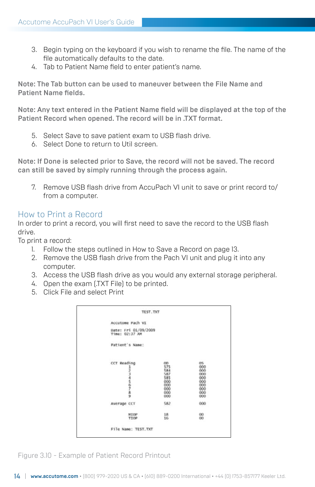- 3. Begin typing on the keyboard if you wish to rename the file. The name of the file automatically defaults to the date.
- 4. Tab to Patient Name field to enter patient's name.

Note: The Tab button can be used to maneuver between the File Name and Patient Name fields.

Note: Any text entered in the Patient Name field will be displayed at the top of the Patient Record when opened. The record will be in .TXT format.

- 5. Select Save to save patient exam to USB flash drive.
- 6. Select Done to return to Util screen.

Note: If Done is selected prior to Save, the record will not be saved. The record can still be saved by simply running through the process again.

7. Remove USB flash drive from AccuPach VI unit to save or print record to/ from a computer.

#### How to Print a Record

In order to print a record, you will first need to save the record to the USB flash drive.

To print a record:

- 1. Follow the steps outlined in How to Save a Record on page 13.
- 2. Remove the USB flash drive from the Pach VI unit and plug it into any computer.
- 3. Access the USB flash drive as you would any external storage peripheral.
- 4. Open the exam (.TXT File) to be printed.
- 5. Click File and select Print

| Accutome Pach VI                       |            |            |
|----------------------------------------|------------|------------|
| Date: Fri 01/09/2009<br>Time: 02:37 AM |            |            |
| Patient's Name:                        |            |            |
| CCT Reading                            | $^{OD}$    | OS.        |
| ユフコルクラスタ                               | 575<br>584 | 000<br>000 |
|                                        | 587        | 000        |
|                                        | 585        | 000        |
|                                        | 000<br>000 | 000        |
|                                        | 000        | 000        |
|                                        | 000        | 000        |
|                                        | 000        | 000        |
| Average CCT                            | 582        | 000        |
| MIDP                                   | 18         | 00         |
| TIOP                                   | 16         | œ          |
| File Name: TEST. TXT                   |            |            |

Figure 3.10 - Example of Patient Record Printout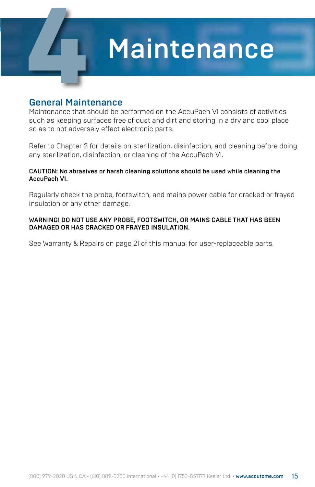### **Maintenance**

#### General Maintenance

Maintenance that should be performed on the AccuPach VI consists of activities such as keeping surfaces free of dust and dirt and storing in a dry and cool place so as to not adversely effect electronic parts.

Refer to Chapter 2 for details on sterilization, disinfection, and cleaning before doing any sterilization, disinfection, or cleaning of the AccuPach VI.

#### CAUTION: No abrasives or harsh cleaning solutions should be used while cleaning the AccuPach VI.

Regularly check the probe, footswitch, and mains power cable for cracked or frayed insulation or any other damage.

#### WARNING! DO NOT USE ANY PROBE, FOOTSWITCH, OR MAINS CABLE THAT HAS BEEN DAMAGED OR HAS CRACKED OR FRAYED INSULATION.

See Warranty & Repairs on page 21 of this manual for user-replaceable parts.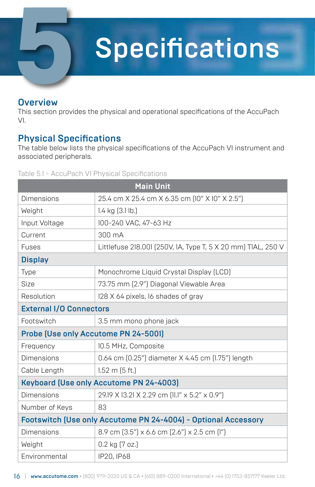### **Specifications**

#### **Overview**

This section provides the physical and operational specifications of the AccuPach VI.

#### Physical Specifications

Accutome AccuPach VI User's Guide

The table below lists the physical specifications of the AccuPach VI instrument and associated peripherals.

#### Table 5.1 - AccuPach VI Physical Specifications

| <b>Main Unit</b>                                               |                                                              |  |  |  |
|----------------------------------------------------------------|--------------------------------------------------------------|--|--|--|
| <b>Dimensions</b>                                              | 25.4 cm X 25.4 cm X 6.35 cm [10" X 10" X 2.5"]               |  |  |  |
| Weight                                                         | $1.4$ kg $(3.1$ lb.)                                         |  |  |  |
| Input Voltage                                                  | 100-240 VAC, 47-63 Hz                                        |  |  |  |
| Current                                                        | 300 mA                                                       |  |  |  |
| <b>Fuses</b>                                                   | Littlefuse 218.001 (250V, 1A, Type T, 5 X 20 mm) TIAL, 250 V |  |  |  |
| <b>Display</b>                                                 |                                                              |  |  |  |
| Type                                                           | Monochrome Liquid Crystal Display (LCD)                      |  |  |  |
| Size                                                           | 73.75 mm [2.9"] Diagonal Viewable Area                       |  |  |  |
| Resolution                                                     | 128 X 64 pixels, 16 shades of gray                           |  |  |  |
| <b>External I/O Connectors</b>                                 |                                                              |  |  |  |
| Footswitch                                                     | 3.5 mm mono phone jack                                       |  |  |  |
| Probe (Use only Accutome PN 24-5001)                           |                                                              |  |  |  |
| Frequency                                                      | 10.5 MHz, Composite                                          |  |  |  |
| Dimensions                                                     | 0.64 cm (0.25") diameter X 4.45 cm (1.75") length            |  |  |  |
| Cable Length                                                   | $1.52 \text{ m}$ (5 ft.)                                     |  |  |  |
|                                                                | Keyboard (Use only Accutome PN 24-4003)                      |  |  |  |
| Dimensions                                                     | 29.19 X 13.21 X 2.29 cm [11.1" x 5.2" x 0.9"]                |  |  |  |
| Number of Keys                                                 | 83                                                           |  |  |  |
| Footswitch (Use only Accutome PN 24-4004) - Optional Accessory |                                                              |  |  |  |
| Dimensions                                                     | 8.9 cm [3.5"] x 6.6 cm [2.6"] x 2.5 cm [1"]                  |  |  |  |
| Weight                                                         | $0.2$ kg $(7$ oz.)                                           |  |  |  |
| Environmental                                                  | IP20, IP68                                                   |  |  |  |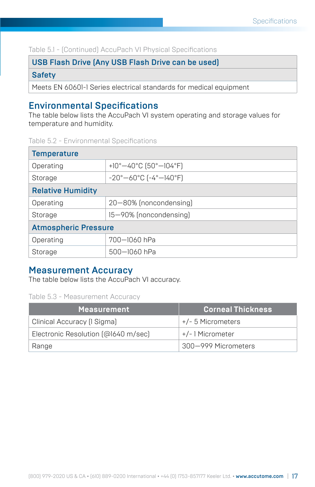Table 5.1 - (Continued) AccuPach VI Physical Specifications

USB Flash Drive (Any USB Flash Drive can be used)

Safety

Meets EN 60601-1 Series electrical standards for medical equipment

#### Environmental Specifications

The table below lists the AccuPach VI system operating and storage values for temperature and humidity.

Table 5.2 - Environmental Specifications

| <b>Temperature</b>          |                                                              |  |  |  |
|-----------------------------|--------------------------------------------------------------|--|--|--|
| Operating                   | +10° $-40$ °C (50° $-104$ °F)                                |  |  |  |
| Storage                     | $-20^{\circ} - 60^{\circ}$ C [ $-4^{\circ} - 140^{\circ}$ F] |  |  |  |
| <b>Relative Humidity</b>    |                                                              |  |  |  |
| Operating                   | 20-80% (noncondensing)                                       |  |  |  |
| Storage                     | 15-90% (noncondensing)                                       |  |  |  |
| <b>Atmospheric Pressure</b> |                                                              |  |  |  |
| Operating                   | 700-1060 hPa                                                 |  |  |  |
| Storage                     | 500-1060 hPa                                                 |  |  |  |

#### Measurement Accuracy

The table below lists the AccuPach VI accuracy.

Table 5.3 - Measurement Accuracy

| <b>Measurement</b>                  | <b>Corneal Thickness</b> |
|-------------------------------------|--------------------------|
| Clinical Accuracy (1 Sigma)         | +/- 5 Micrometers        |
| Electronic Resolution (@1640 m/sec) | +/-1Micrometer           |
| Range                               | 300–999 Micrometers      |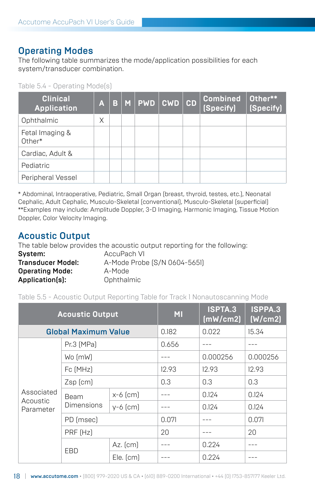#### Operating Modes

The following table summarizes the mode/application possibilities for each system/transducer combination.

Table 5.4 - Operating Mode(s)

| <b>Clinical</b><br><b>Application</b> | A | B. | M PWD | <b>CWD</b> | CD | <b>Combined</b><br>(Specify) | Other**<br>(Specify) |
|---------------------------------------|---|----|-------|------------|----|------------------------------|----------------------|
| Ophthalmic                            | X |    |       |            |    |                              |                      |
| Fetal Imaging &<br>Other*             |   |    |       |            |    |                              |                      |
| Cardiac, Adult &                      |   |    |       |            |    |                              |                      |
| Pediatric                             |   |    |       |            |    |                              |                      |
| Peripheral Vessel                     |   |    |       |            |    |                              |                      |

\* Abdominal, Intraoperative, Pediatric, Small Organ (breast, thyroid, testes, etc.), Neonatal Cephalic, Adult Cephalic, Musculo-Skeletal (conventional), Musculo-Skeletal (superficial) \*\*Examples may include: Amplitude Doppler, 3-D Imaging, Harmonic Imaging, Tissue Motion Doppler, Color Velocity Imaging.

#### Acoustic Output

The table below provides the acoustic output reporting for the following:

| Svstem:                  | AccuPach VI                  |
|--------------------------|------------------------------|
| <b>Transducer Model:</b> | A-Mode Probe (S/N 0604-5651) |
| <b>Operating Mode:</b>   | A-Mode                       |
| Application(s):          | Ophthalmic                   |

Table 5.5 - Acoustic Output Reporting Table for Track 1 Nonautoscanning Mode

|                                     | <b>Acoustic Output</b> |               | <b>MI</b> | <b>ISPTA.3</b><br>(mW/cm2) | ISPPA.3<br>(W/cm2) |
|-------------------------------------|------------------------|---------------|-----------|----------------------------|--------------------|
| <b>Global Maximum Value</b>         |                        |               | 0.182     | 0.022                      | 15.34              |
|                                     | Pr.3 (MPa)             |               |           |                            |                    |
| Wo (mW)                             |                        |               |           | 0.000256                   | 0.000256           |
|                                     | Fc [MHz]               |               | 12.93     | 12.93                      | 12.93              |
|                                     | $Zsp$ (cm)             |               | 0.3       | 0.3                        | 0.3                |
| Associated<br>Acoustic<br>Parameter | Beam<br>Dimensions     | $x-6$ (cm)    |           | 0.124                      | 0.124              |
|                                     |                        | $v-6$ (cm)    |           | 0.124                      | 0.124              |
|                                     | PD (msec)              |               | 0.071     |                            | 0.071              |
|                                     | PRF [Hz]               |               | 20        |                            | 20                 |
|                                     |                        | $Az.$ [cm]    |           | 0.224                      |                    |
| EBD                                 |                        | $Ele.$ $[cm]$ |           | 0.224                      |                    |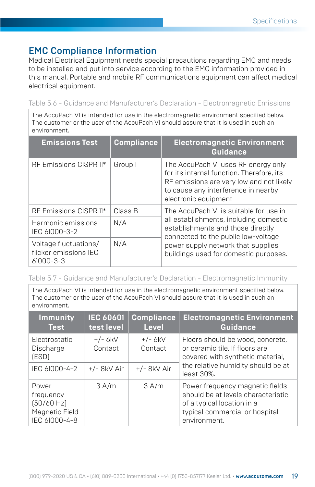#### EMC Compliance Information

Medical Electrical Equipment needs special precautions regarding EMC and needs to be installed and put into service according to the EMC information provided in this manual. Portable and mobile RF communications equipment can affect medical electrical equipment.

Table 5.6 - Guidance and Manufacturer's Declaration - Electromagnetic Emissions

The AccuPach VI is intended for use in the electromagnetic environment specified below. The customer or the user of the AccuPach VI should assure that it is used in such an environment.

| <b>Emissions Test</b>                                             | <b>Compliance</b> | <b>Electromagnetic Environment</b><br>Guidance                                                                                                                                              |
|-------------------------------------------------------------------|-------------------|---------------------------------------------------------------------------------------------------------------------------------------------------------------------------------------------|
| RF Emissions CISPR 11*                                            | Group 1           | The AccuPach VI uses RF energy only<br>for its internal function. Therefore, its<br>RF emissions are very low and not likely<br>to cause any interference in nearby<br>electronic equipment |
| RF Emissions CISPR 11*                                            | Class B           | The AccuPach VI is suitable for use in                                                                                                                                                      |
| Harmonic emissions<br>IEC 61000-3-2                               | N/A               | all establishments, including domestic<br>establishments and those directly<br>connected to the public low-voltage                                                                          |
| Voltage fluctuations/<br>flicker emissions IEC<br>$61000 - 3 - 3$ | N/A               | power supply network that supplies<br>buildings used for domestic purposes.                                                                                                                 |

#### Table 5.7 - Guidance and Manufacturer's Declaration - Electromagnetic Immunity

The AccuPach VI is intended for use in the electromagnetic environment specified below. The customer or the user of the AccuPach VI should assure that it is used in such an environment.

| <b>Immunity</b><br><b>Test</b>                                      | <b>IEC 60601</b><br>test level | <b>Compliance</b><br><b>Level</b> | <b>Electromagnetic Environment</b><br>Guidance                                                                                                             |
|---------------------------------------------------------------------|--------------------------------|-----------------------------------|------------------------------------------------------------------------------------------------------------------------------------------------------------|
| Electrostatic<br>Discharge<br>(ESD)                                 | $+/- 6kV$<br>Contact           | $+/- 6kV$<br>Contact              | Floors should be wood, concrete,<br>or ceramic tile. If floors are<br>covered with synthetic material,<br>the relative humidity should be at<br>least 30%. |
| IEC 61000-4-2                                                       | +/- 8kV Air                    | $+/-$ 8kV Air                     |                                                                                                                                                            |
| Power<br>frequency<br>[50/60 Hz]<br>Magnetic Field<br>IEC 61000-4-8 | 3 A/m                          | 3 A/m                             | Power frequency magnetic fields<br>should be at levels characteristic<br>of a typical location in a<br>typical commercial or hospital<br>environment.      |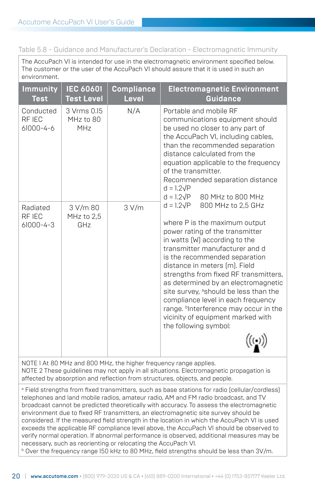Table 5.8 - Guidance and Manufacturer's Declaration - Electromagnetic Immunity

The AccuPach VI is intended for use in the electromagnetic environment specified below. The customer or the user of the AccuPach VI should assure that it is used in such an environment.

| <b>Immunity</b><br><b>Test</b>        | <b>IEC 60601</b><br><b>Test Level</b> | <b>Compliance</b><br><b>Level</b> | <b>Electromagnetic Environment</b><br>Guidance                                                                                                                                                                                                                                                                                                                                                                                                                                                                                                                                                                                                                                                                                                                                                                                                                                                    |
|---------------------------------------|---------------------------------------|-----------------------------------|---------------------------------------------------------------------------------------------------------------------------------------------------------------------------------------------------------------------------------------------------------------------------------------------------------------------------------------------------------------------------------------------------------------------------------------------------------------------------------------------------------------------------------------------------------------------------------------------------------------------------------------------------------------------------------------------------------------------------------------------------------------------------------------------------------------------------------------------------------------------------------------------------|
| Conducted<br>RF IEC<br>61000-4-6      | 3 Vrms 0.15<br>MHz to 80<br>MHz       | N/A                               | Portable and mobile RF<br>communications equipment should<br>be used no closer to any part of<br>the AccuPach VI, including cables,<br>than the recommended separation<br>distance calculated from the<br>equation applicable to the frequency<br>of the transmitter.<br>Recommended separation distance<br>$d = 1.2\sqrt{P}$<br>$d = 1.2\sqrt{P}$<br>80 MHz to 800 MHz<br>$d = 1.2\sqrt{P}$<br>800 MHz to 2,5 GHz<br>where P is the maximum output<br>power rating of the transmitter<br>in watts (W) according to the<br>transmitter manufacturer and d<br>is the recommended separation<br>distance in meters [m]. Field<br>strengths from fixed RF transmitters,<br>as determined by an electromagnetic<br>site survey, ashould be less than the<br>compliance level in each frequency<br>range. binterference may occur in the<br>vicinity of equipment marked with<br>the following symbol: |
| Radiated<br>RF IEC<br>$61000 - 4 - 3$ | 3 V/m 80<br>MHz to $2.5$<br>GHz       | 3 V/m                             |                                                                                                                                                                                                                                                                                                                                                                                                                                                                                                                                                                                                                                                                                                                                                                                                                                                                                                   |

NOTE 1 At 80 MHz and 800 MHz, the higher frequency range applies. NOTE 2 These guidelines may not apply in all situations. Electromagnetic propagation is affected by absorption and reflection from structures, objects, and people.

a Field strengths from fixed transmitters, such as base stations for radio (cellular/cordless) telephones and land mobile radios, amateur radio, AM and FM radio broadcast, and TV broadcast cannot be predicted theoretically with accuracy. To assess the electromagnetic environment due to fixed RF transmitters, an electromagnetic site survey should be considered. If the measured field strength in the location in which the AccuPach VI is used exceeds the applicable RF compliance level above, the AccuPach VI should be observed to verify normal operation. If abnormal performance is observed, additional measures may be necessary, such as reorienting or relocating the AccuPach VI.

 $^{\rm b}$  Over the frequency range 150 kHz to 80 MHz, field strengths should be less than 3V/m.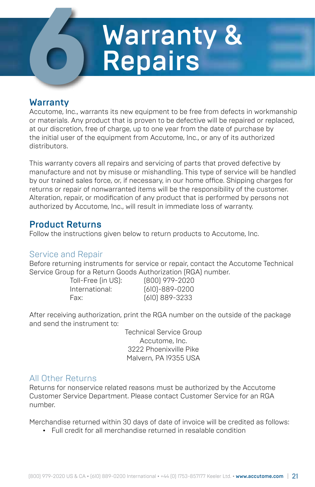# **Compound Marranty & Repairs** Repairs

#### Warranty

Accutome, Inc., warrants its new equipment to be free from defects in workmanship or materials. Any product that is proven to be defective will be repaired or replaced, at our discretion, free of charge, up to one year from the date of purchase by the initial user of the equipment from Accutome, Inc., or any of its authorized distributors.

This warranty covers all repairs and servicing of parts that proved defective by manufacture and not by misuse or mishandling. This type of service will be handled by our trained sales force, or, if necessary, in our home office. Shipping charges for returns or repair of nonwarranted items will be the responsibility of the customer. Alteration, repair, or modification of any product that is performed by persons not authorized by Accutome, Inc., will result in immediate loss of warranty.

#### Product Returns

Follow the instructions given below to return products to Accutome, Inc.

#### Service and Repair

Before returning instruments for service or repair, contact the Accutome Technical Service Group for a Return Goods Authorization (RGA) number.

Toll-Free (in US): (800) 979-2020 International: (610)-889-0200 Fax: (610) 889-3233

After receiving authorization, print the RGA number on the outside of the package and send the instrument to:

> Technical Service Group Accutome, Inc. 3222 Phoenixville Pike Malvern, PA 19355 USA

#### All Other Returns

Returns for nonservice related reasons must be authorized by the Accutome Customer Service Department. Please contact Customer Service for an RGA number.

Merchandise returned within 30 days of date of invoice will be credited as follows:

• Full credit for all merchandise returned in resalable condition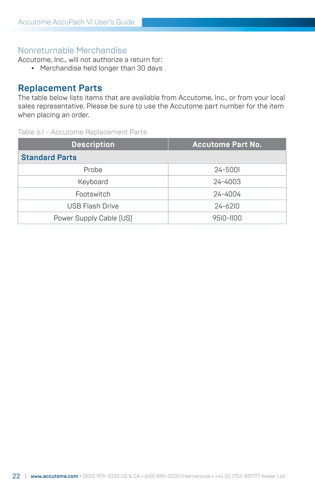#### Nonreturnable Merchandise

Accutome, Inc., will not authorize a return for:

• Merchandise held longer than 30 days

#### Replacement Parts

The table below lists items that are available from Accutome, Inc., or from your local sales representative. Please be sure to use the Accutome part number for the item when placing an order.

#### Table 6.1 - Accutome Replacement Parts

| <b>Description</b>      | <b>Accutome Part No.</b> |  |  |  |
|-------------------------|--------------------------|--|--|--|
| <b>Standard Parts</b>   |                          |  |  |  |
| Probe                   | 24-5001                  |  |  |  |
| Keyboard                | 24-4003                  |  |  |  |
| Footswitch              | 24-4004                  |  |  |  |
| USB Flash Drive         | $24 - 6210$              |  |  |  |
| Power Supply Cable [US] | 9510-1100                |  |  |  |